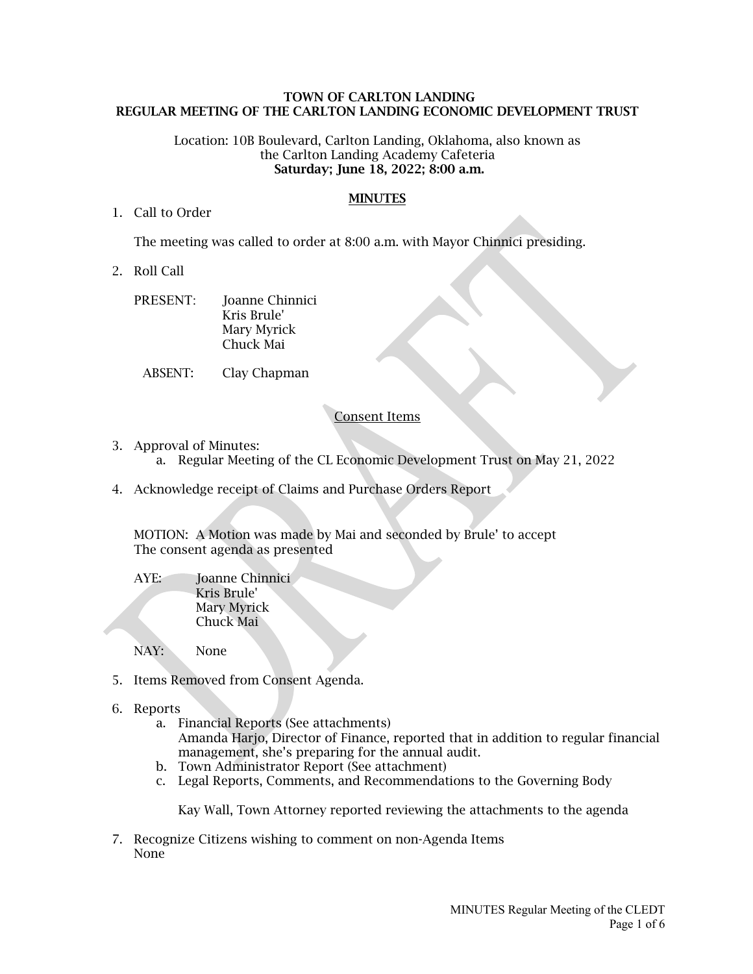### TOWN OF CARLTON LANDING REGULAR MEETING OF THE CARLTON LANDING ECONOMIC DEVELOPMENT TRUST

#### Location: 10B Boulevard, Carlton Landing, Oklahoma, also known as the Carlton Landing Academy Cafeteria Saturday; June 18, 2022; 8:00 a.m.

#### **MINUTES**

#### 1. Call to Order

The meeting was called to order at 8:00 a.m. with Mayor Chinnici presiding.

- 2. Roll Call
	- PRESENT: Joanne Chinnici Kris Brule' Mary Myrick Chuck Mai
		- ABSENT: Clay Chapman

## Consent Items

- 3. Approval of Minutes:
	- a. Regular Meeting of the CL Economic Development Trust on May 21, 2022
- 4. Acknowledge receipt of Claims and Purchase Orders Report

MOTION: A Motion was made by Mai and seconded by Brule' to accept The consent agenda as presented

AYE: Joanne Chinnici Kris Brule' Mary Myrick Chuck Mai

NAY: None

- 5. Items Removed from Consent Agenda.
- 6. Reports
	- a. Financial Reports (See attachments) Amanda Harjo, Director of Finance, reported that in addition to regular financial management, she's preparing for the annual audit.
	- b. Town Administrator Report (See attachment)
	- c. Legal Reports, Comments, and Recommendations to the Governing Body

Kay Wall, Town Attorney reported reviewing the attachments to the agenda

7. Recognize Citizens wishing to comment on non-Agenda Items None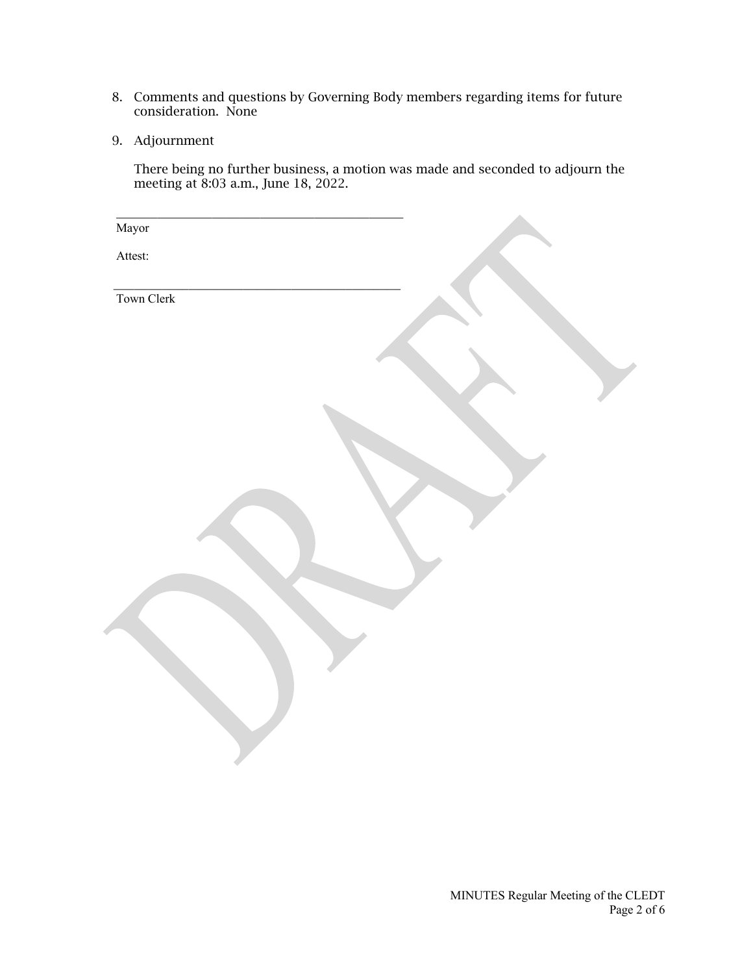- 8. Comments and questions by Governing Body members regarding items for future consideration. None
- 9. Adjournment

There being no further business, a motion was made and seconded to adjourn the meeting at 8:03 a.m., June 18, 2022.

| Mayor      |  |  |
|------------|--|--|
| Attest:    |  |  |
| Town Clerk |  |  |
|            |  |  |
|            |  |  |
|            |  |  |
|            |  |  |
|            |  |  |
|            |  |  |
|            |  |  |
|            |  |  |
|            |  |  |
|            |  |  |
|            |  |  |
|            |  |  |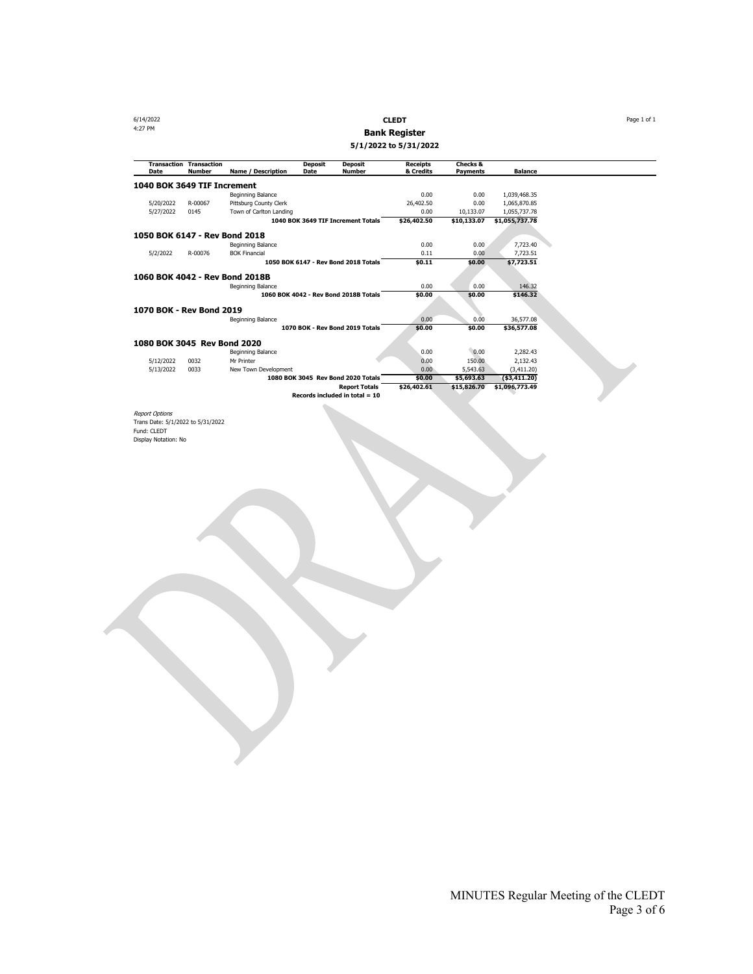6/14/2022 **CLEDT** Page 1 of 1 4:27 PM **Bank Register 5/1/2022 to 5/31/2022**

| Date                           | <b>Transaction Transaction</b><br><b>Number</b> | <b>Name / Description</b> | <b>Deposit</b><br>Date | <b>Deposit</b><br><b>Number</b>       | <b>Receipts</b><br>& Credits | <b>Checks &amp;</b><br><b>Payments</b> | <b>Balance</b> |
|--------------------------------|-------------------------------------------------|---------------------------|------------------------|---------------------------------------|------------------------------|----------------------------------------|----------------|
| 1040 BOK 3649 TIF Increment    |                                                 |                           |                        |                                       |                              |                                        |                |
|                                |                                                 | Beginning Balance         |                        |                                       | 0.00                         | 0.00                                   | 1,039,468.35   |
| 5/20/2022                      | R-00067                                         | Pittsburg County Clerk    |                        |                                       | 26,402.50                    | 0.00                                   | 1,065,870.85   |
| 5/27/2022                      | 0145                                            | Town of Carlton Landing   |                        |                                       | 0.00                         | 10,133.07                              | 1,055,737.78   |
|                                |                                                 |                           |                        | 1040 BOK 3649 TIF Increment Totals    | \$26,402.50                  | \$10,133.07                            | \$1,055,737.78 |
| 1050 BOK 6147 - Rev Bond 2018  |                                                 |                           |                        |                                       |                              |                                        |                |
|                                |                                                 | Beginning Balance         |                        |                                       | 0.00                         | 0.00                                   | 7,723.40       |
| 5/2/2022                       | R-00076                                         | <b>BOK Financial</b>      |                        |                                       | 0.11                         | 0.00                                   | 7.723.51       |
|                                |                                                 |                           |                        | 1050 BOK 6147 - Rev Bond 2018 Totals  | \$0.11                       | \$0.00                                 | \$7,723.51     |
| 1060 BOK 4042 - Rev Bond 2018B |                                                 |                           |                        |                                       |                              |                                        |                |
|                                |                                                 | Beginning Balance         |                        |                                       | 0.00                         | 0.00                                   | 146.32         |
|                                |                                                 |                           |                        | 1060 BOK 4042 - Rev Bond 2018B Totals | \$0.00                       | \$0.00                                 | \$146.32       |
| 1070 BOK - Rev Bond 2019       |                                                 |                           |                        |                                       |                              |                                        |                |
|                                |                                                 | Beginning Balance         |                        |                                       | 0.00                         | 0.00                                   | 36,577.08      |
|                                |                                                 |                           |                        | 1070 BOK - Rev Bond 2019 Totals       | \$0.00                       | \$0.00                                 | \$36,577.08    |
| 1080 BOK 3045 Rev Bond 2020    |                                                 |                           |                        |                                       |                              |                                        |                |
|                                |                                                 | Beginning Balance         |                        |                                       | 0.00                         | 0.00                                   | 2,282.43       |
| 5/12/2022                      | 0032                                            | Mr Printer                |                        |                                       | 0.00                         | 150.00                                 | 2.132.43       |
| 5/13/2022                      | 0033                                            | New Town Development      |                        |                                       | 0.00                         | 5.543.63                               | (3,411.20)     |
|                                |                                                 |                           |                        | 1080 BOK 3045 Rev Bond 2020 Totals    | \$0.00                       | \$5,693.63                             | ( \$3,411.20)  |
|                                |                                                 |                           |                        | <b>Report Totals</b>                  | \$26,402.61                  | \$15,826.70                            | \$1,096,773.49 |
|                                |                                                 |                           |                        | Records included in total $= 10$      |                              |                                        |                |
|                                |                                                 |                           |                        |                                       |                              |                                        |                |

*Report Options*<br>Trans Date: 5/1/2022 to 5/31/2022<br>Fund: CLEDT<br>Display Notation: No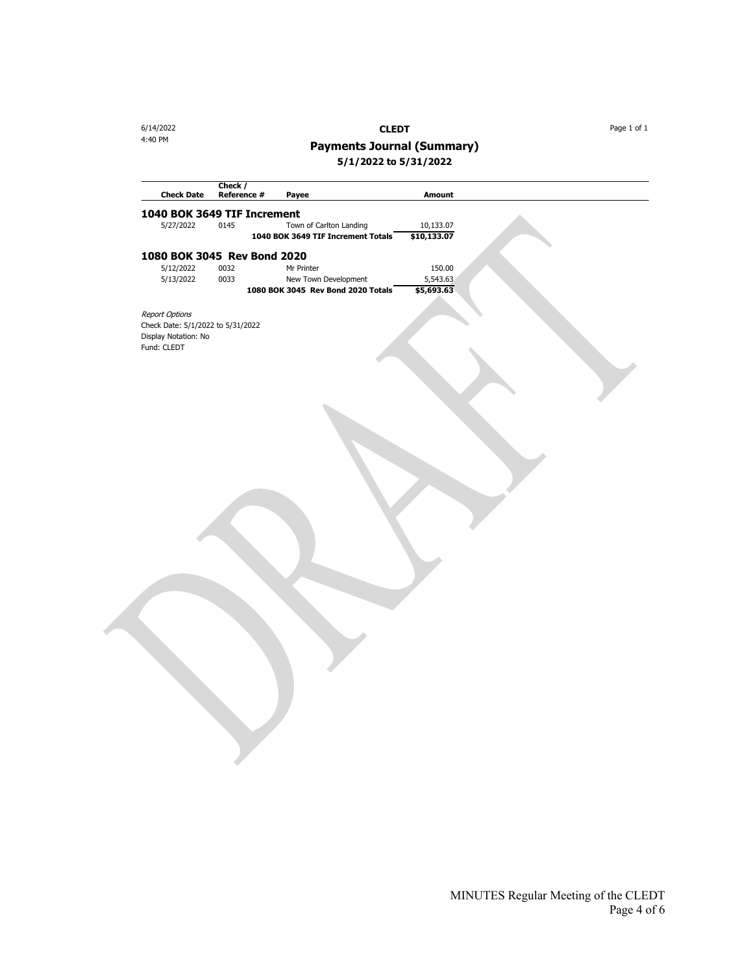6/14/2022 **CLEDT** Page 1 of 1

# 4:40 PM **Payments Journal (Summary)**

**5/1/2022 to 5/31/2022**

| <b>Check Date</b>                 | Check /<br>Reference # |                                    | <b>Amount</b> |  |
|-----------------------------------|------------------------|------------------------------------|---------------|--|
|                                   |                        | Payee                              |               |  |
| 1040 BOK 3649 TIF Increment       |                        |                                    |               |  |
| 5/27/2022                         | 0145                   | Town of Carlton Landing            | 10,133.07     |  |
|                                   |                        | 1040 BOK 3649 TIF Increment Totals | \$10,133.07   |  |
| 1080 BOK 3045 Rev Bond 2020       |                        |                                    |               |  |
| 5/12/2022                         | 0032                   | Mr Printer                         | 150.00        |  |
| 5/13/2022                         | 0033                   | New Town Development               | 5,543.63      |  |
|                                   |                        | 1080 BOK 3045 Rev Bond 2020 Totals | \$5,693.63    |  |
|                                   |                        |                                    |               |  |
| Report Options                    |                        |                                    |               |  |
| Check Date: 5/1/2022 to 5/31/2022 |                        |                                    |               |  |
| Display Notation: No              |                        |                                    |               |  |
| Fund: CLEDT                       |                        |                                    |               |  |
|                                   |                        |                                    |               |  |
|                                   |                        |                                    |               |  |
|                                   |                        |                                    |               |  |
|                                   |                        |                                    |               |  |
|                                   |                        |                                    |               |  |
|                                   |                        |                                    |               |  |
|                                   |                        |                                    |               |  |
|                                   |                        |                                    |               |  |
|                                   |                        |                                    |               |  |
|                                   |                        |                                    |               |  |
|                                   |                        |                                    |               |  |
|                                   |                        |                                    |               |  |
|                                   |                        |                                    |               |  |
|                                   |                        |                                    |               |  |
|                                   |                        |                                    |               |  |
|                                   |                        |                                    |               |  |
|                                   |                        |                                    |               |  |
|                                   |                        |                                    |               |  |
|                                   |                        |                                    |               |  |
|                                   |                        |                                    |               |  |
|                                   |                        |                                    |               |  |
|                                   |                        |                                    |               |  |
|                                   |                        |                                    |               |  |
|                                   |                        |                                    |               |  |
|                                   |                        |                                    |               |  |
|                                   |                        |                                    |               |  |
|                                   |                        |                                    |               |  |
|                                   |                        |                                    |               |  |
|                                   |                        |                                    |               |  |
|                                   |                        |                                    |               |  |
|                                   |                        |                                    |               |  |
|                                   |                        |                                    |               |  |
|                                   |                        |                                    |               |  |
|                                   |                        |                                    |               |  |
|                                   |                        |                                    |               |  |
|                                   |                        |                                    |               |  |
|                                   |                        |                                    |               |  |
|                                   |                        |                                    |               |  |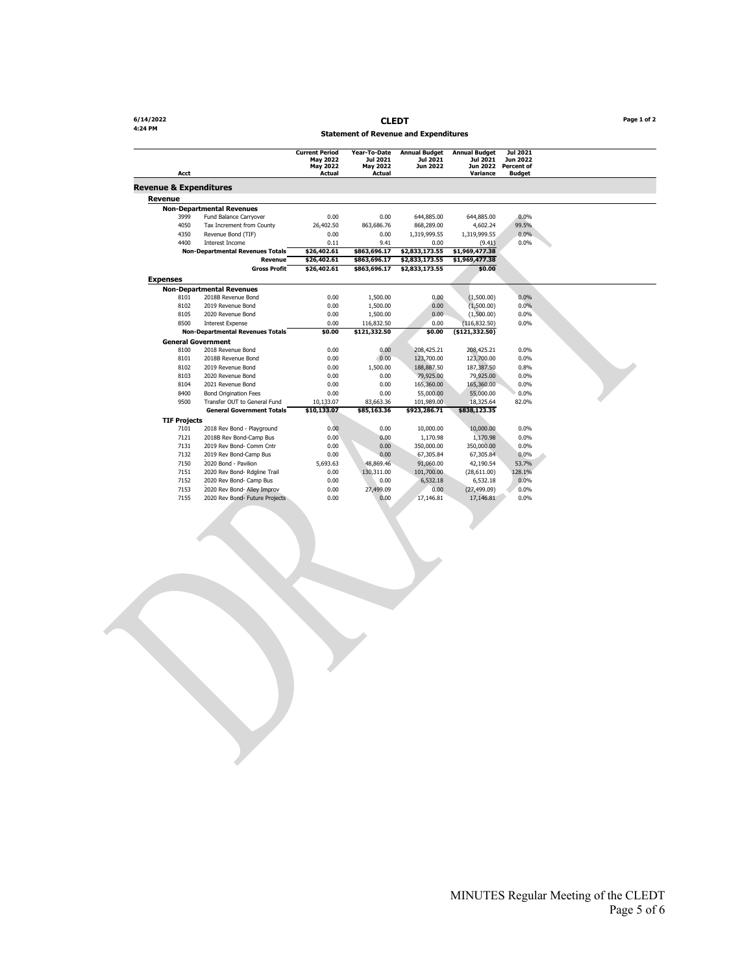**4:24 PM**

**6/14/2022 CLEDT Page 1 of 2**

#### **Statement of Revenue and Expenditures**

| Acct                              |                                         | <b>Current Period</b><br><b>Mav 2022</b><br>May 2022<br>Actual | Year-To-Date<br>Jul 2021<br>May 2022<br>Actual | <b>Annual Budget</b><br>Jul 2021<br>Jun 2022 | <b>Annual Budget</b><br>Jul 2021<br>Jun 2022<br>Variance | Jul 2021<br>Jun 2022<br>Percent of<br><b>Budget</b> |  |
|-----------------------------------|-----------------------------------------|----------------------------------------------------------------|------------------------------------------------|----------------------------------------------|----------------------------------------------------------|-----------------------------------------------------|--|
| <b>Revenue &amp; Expenditures</b> |                                         |                                                                |                                                |                                              |                                                          |                                                     |  |
| Revenue                           |                                         |                                                                |                                                |                                              |                                                          |                                                     |  |
|                                   | <b>Non-Departmental Revenues</b>        |                                                                |                                                |                                              |                                                          |                                                     |  |
| 3999                              | Fund Balance Carryover                  | 0.00                                                           | 0.00                                           | 644.885.00                                   | 644,885.00                                               | 0.0%                                                |  |
| 4050                              | Tax Increment from County               | 26,402.50                                                      | 863.686.76                                     | 868,289.00                                   | 4,602.24                                                 | 99.5%                                               |  |
| 4350                              | Revenue Bond (TIF)                      | 0.00                                                           | 0.00                                           | 1,319,999.55                                 | 1,319,999.55                                             | 0.0%                                                |  |
| 4400                              | Interest Income                         | 0.11                                                           | 9.41                                           | 0.00                                         | (9.41)                                                   | 0.0%                                                |  |
|                                   | <b>Non-Departmental Revenues Totals</b> | \$26,402.61                                                    | \$863,696.17                                   | \$2,833,173.55                               | \$1,969,477.38                                           |                                                     |  |
|                                   | Revenue                                 | \$26,402.61                                                    | \$863,696.17                                   | \$2,833,173.55                               | \$1,969,477.38                                           |                                                     |  |
|                                   | <b>Gross Profit</b>                     | \$26,402.61                                                    | \$863,696.17                                   | \$2,833,173.55                               | \$0.00                                                   |                                                     |  |
| <b>Expenses</b>                   |                                         |                                                                |                                                |                                              |                                                          |                                                     |  |
|                                   | <b>Non-Departmental Revenues</b>        |                                                                |                                                |                                              |                                                          |                                                     |  |
| 8101                              | 2018B Revenue Bond                      | 0.00                                                           | 1,500.00                                       | 0.00                                         | (1,500.00)                                               | 0.0%                                                |  |
| 8102                              | 2019 Revenue Bond                       | 0.00                                                           | 1,500.00                                       | 0.00                                         | (1,500.00)                                               | 0.0%                                                |  |
| 8105                              | 2020 Revenue Bond                       | 0.00                                                           | 1,500.00                                       | 0.00                                         | (1,500.00)                                               | 0.0%                                                |  |
| 8500                              | <b>Interest Expense</b>                 | 0.00                                                           | 116,832.50                                     | 0.00                                         | (116, 832.50)                                            | 0.0%                                                |  |
|                                   | <b>Non-Departmental Revenues Totals</b> | \$0.00                                                         | \$121,332.50                                   | \$0.00                                       | ( \$121, 332.50)                                         |                                                     |  |
|                                   | <b>General Government</b>               |                                                                |                                                |                                              |                                                          |                                                     |  |
| 8100                              | 2018 Revenue Bond                       | 0.00                                                           | 0.00                                           | 208,425.21                                   | 208,425.21                                               | 0.0%                                                |  |
| 8101                              | 2018B Revenue Bond                      | 0.00                                                           | 0.00                                           | 123,700.00                                   | 123,700.00                                               | 0.0%                                                |  |
| 8102                              | 2019 Revenue Bond                       | 0.00                                                           | 1,500.00                                       | 188,887.50                                   | 187,387.50                                               | 0.8%                                                |  |
| 8103                              | 2020 Revenue Bond                       | 0.00                                                           | 0.00                                           | 79,925.00                                    | 79,925.00                                                | 0.0%                                                |  |
| 8104                              | 2021 Revenue Bond                       | 0.00                                                           | 0.00                                           | 165,360.00                                   | 165,360.00                                               | 0.0%                                                |  |
| 8400                              | <b>Bond Origination Fees</b>            | 0.00                                                           | 0.00                                           | 55,000.00                                    | 55,000.00                                                | 0.0%                                                |  |
| 9500                              | Transfer OUT to General Fund            | 10,133.07                                                      | 83,663.36                                      | 101,989.00                                   | 18,325.64                                                | 82.0%                                               |  |
|                                   | <b>General Government Totals</b>        | \$10,133.07                                                    | \$85,163.36                                    | \$923,286.71                                 | \$838,123.35                                             |                                                     |  |
| <b>TIF Projects</b>               |                                         |                                                                |                                                |                                              |                                                          |                                                     |  |
| 7101                              | 2018 Rev Bond - Playground              | 0.00                                                           | 0.00                                           | 10,000.00                                    | 10,000.00                                                | 0.0%                                                |  |
| 7121                              | 2018B Rev Bond-Camp Bus                 | 0.00                                                           | 0.00                                           | 1.170.98                                     | 1,170.98                                                 | 0.0%                                                |  |
| 7131                              | 2019 Rev Bond- Comm Cntr                | 0.00                                                           | 0.00                                           | 350,000.00                                   | 350,000.00                                               | 0.0%                                                |  |
| 7132                              | 2019 Rev Bond-Camp Bus                  | 0.00                                                           | 0.00                                           | 67,305.84                                    | 67,305.84                                                | 0.0%                                                |  |
| 7150                              | 2020 Bond - Pavilion                    | 5,693.63                                                       | 48,869.46                                      | 91,060.00                                    | 42,190.54                                                | 53.7%                                               |  |
| 7151                              | 2020 Rev Bond- Rdgline Trail            | 0.00                                                           | 130,311.00                                     | 101,700.00                                   | (28,611.00)                                              | 128.1%                                              |  |
| 7152                              | 2020 Rev Bond- Camp Bus                 | 0.00                                                           | 0.00                                           | 6,532.18                                     | 6,532.18                                                 | 0.0%                                                |  |
| 7153                              | 2020 Rev Bond- Alley Improv             | 0.00                                                           | 27,499.09                                      | 0.00                                         | (27, 499.09)                                             | 0.0%                                                |  |
| 7155                              | 2020 Rev Bond- Future Projects          | 0.00                                                           | 0.00                                           | 17.146.81                                    | 17,146.81                                                | 0.0%                                                |  |